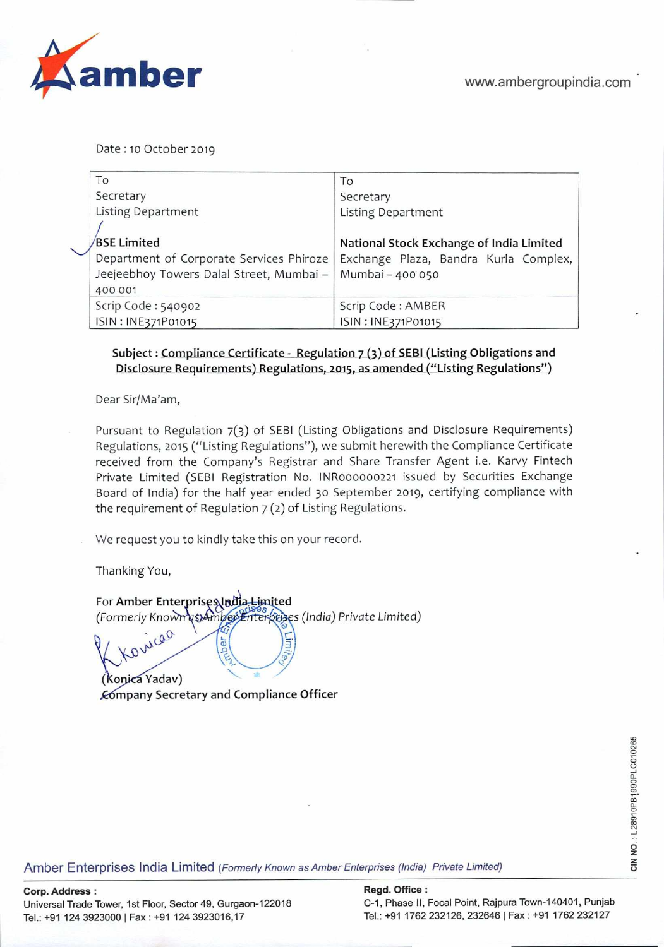

Date: 10 October 2019

| To                                       | To                                       |
|------------------------------------------|------------------------------------------|
| Secretary                                | Secretary                                |
| <b>Listing Department</b>                | Listing Department                       |
|                                          |                                          |
| <b>BSE Limited</b>                       | National Stock Exchange of India Limited |
| Department of Corporate Services Phiroze | Exchange Plaza, Bandra Kurla Complex,    |
| Jeejeebhoy Towers Dalal Street, Mumbai - | Mumbai - 400 050                         |
| 400 001                                  |                                          |
| Scrip Code: 540902                       | Scrip Code: AMBER                        |
| ISIN: INE371P01015                       | ISIN: INE371P01015                       |

## Subject: Compliance Certificate - Regulation 7 (3) of SEBI (Listing Obligations and **Disclosure Requirements) Regulations, 2015, as amended ("Listing Regulations")**

Dear Sir/Ma'am,

Pursuant to Regulation 7(3) of SEBI (Listing Obligations and Disclosure Requirements) Regulations, 2015 ("Listing Regulations"), we submit herewith the Compliance Certificate received from the Company's Registrar and Share Transfer Agent i.e. Karvy Fintech Private Limited (SEBI Registration No. lNR000000221 issued by Securities Exchange Board of India) for the half year ended 30 September 2019, certifying compliance with the requirement of Regulation 7 (2) of Listing Regulations.

We request you to kindly take this on your record.

Thanking You,

For Amber Enterprises budia Limited (Formerly Known as) Amberi Enterptises (India) Private Limited) icao her

(Konica Yadav) **mpany Secretary and Compliance Officer** 

ava.<br>Amber Enterprises India Limited (*Formerly Known as Amber Enterprises (India) Private Limited)*<br>To **Private Limited (Formerly Known as Amber Enterprises (India) Private Limited)**<br>To Manuel Company of the State Compan

**Corp. Address: Regd. Office:** 

Universal Trade Tower, 1st Floor, Sector 49, Gurgaon-122018 C-I, Phase II, Focal Point, RajpuraTown-140401, Punjab Tel.: +91 124 3923000 I Fax: +91 124 3923016,17 Tel.: +91 1762 232126, 232646 I Fax : +91 1762 232127